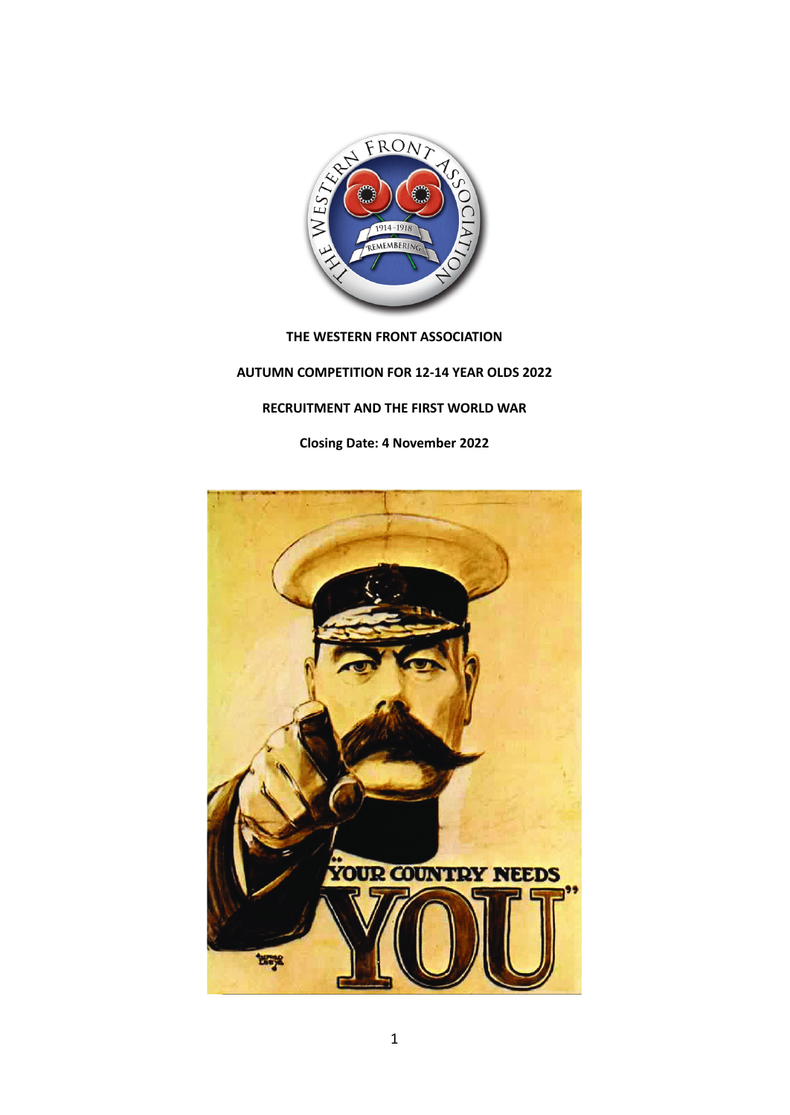

### **THE WESTERN FRONT ASSOCIATION**

# **AUTUMN COMPETITION FOR 12-14 YEAR OLDS 2022**

# **RECRUITMENT AND THE FIRST WORLD WAR**

**Closing Date: 4 November 2022**

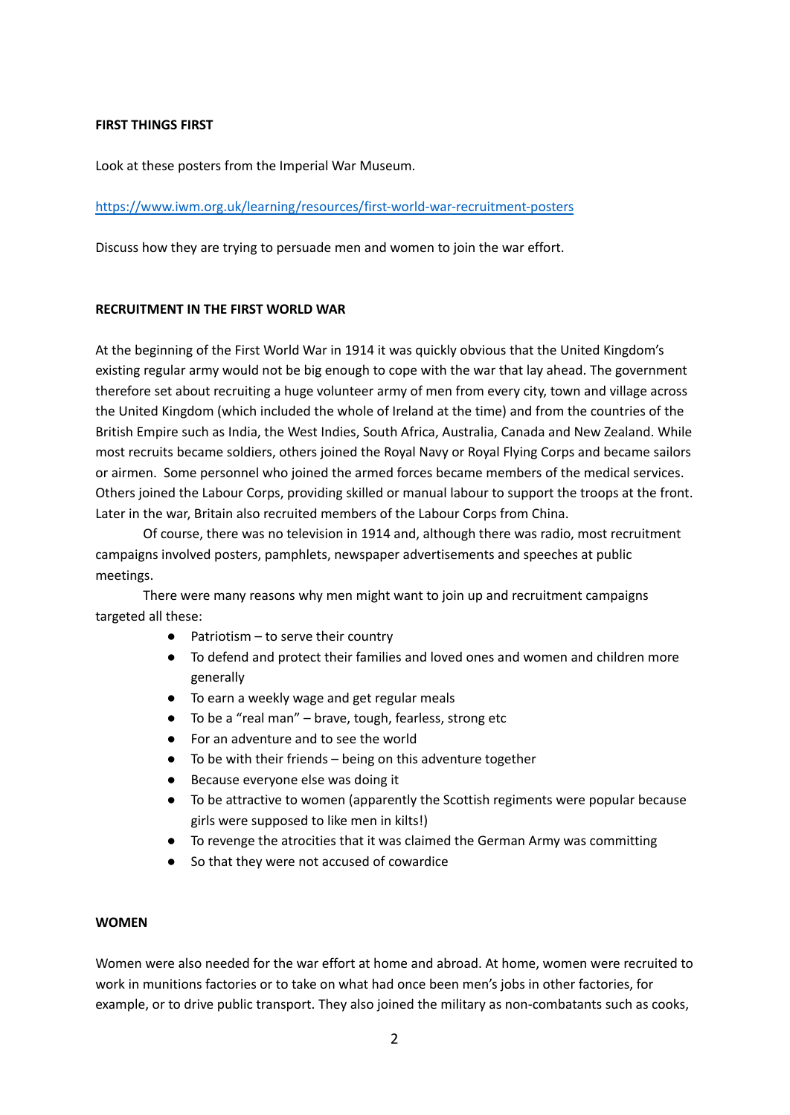### **FIRST THINGS FIRST**

Look at these posters from the Imperial War Museum.

### <https://www.iwm.org.uk/learning/resources/first-world-war-recruitment-posters>

Discuss how they are trying to persuade men and women to join the war effort.

#### **RECRUITMENT IN THE FIRST WORLD WAR**

At the beginning of the First World War in 1914 it was quickly obvious that the United Kingdom's existing regular army would not be big enough to cope with the war that lay ahead. The government therefore set about recruiting a huge volunteer army of men from every city, town and village across the United Kingdom (which included the whole of Ireland at the time) and from the countries of the British Empire such as India, the West Indies, South Africa, Australia, Canada and New Zealand. While most recruits became soldiers, others joined the Royal Navy or Royal Flying Corps and became sailors or airmen. Some personnel who joined the armed forces became members of the medical services. Others joined the Labour Corps, providing skilled or manual labour to support the troops at the front. Later in the war, Britain also recruited members of the Labour Corps from China.

Of course, there was no television in 1914 and, although there was radio, most recruitment campaigns involved posters, pamphlets, newspaper advertisements and speeches at public meetings.

There were many reasons why men might want to join up and recruitment campaigns targeted all these:

- Patriotism  $-$  to serve their country
- To defend and protect their families and loved ones and women and children more generally
- To earn a weekly wage and get regular meals
- To be a "real man" brave, tough, fearless, strong etc
- For an adventure and to see the world
- To be with their friends being on this adventure together
- Because everyone else was doing it
- To be attractive to women (apparently the Scottish regiments were popular because girls were supposed to like men in kilts!)
- To revenge the atrocities that it was claimed the German Army was committing
- So that they were not accused of cowardice

### **WOMEN**

Women were also needed for the war effort at home and abroad. At home, women were recruited to work in munitions factories or to take on what had once been men's jobs in other factories, for example, or to drive public transport. They also joined the military as non-combatants such as cooks,